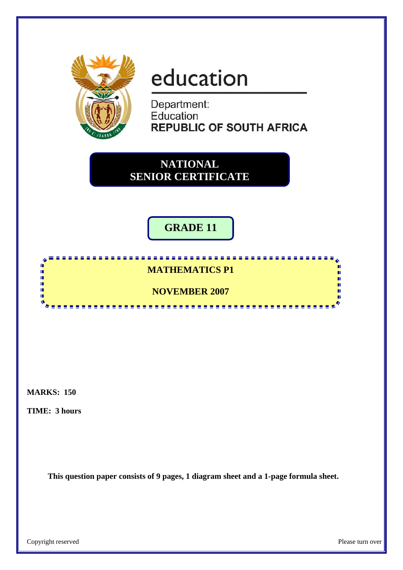

# education

Department: Education **REPUBLIC OF SOUTH AFRICA** 

**NATIONAL SENIOR CERTIFICATE**

# **GRADE 11**

# **MATHEMATICS P1**

<u>,,,,,,,,,,,,,,,,,,,,,,,,,</u>

# **NOVEMBER 2007**

<u>----------</u>

**MARKS: 150** 

**In** i.

ē ú.

**TIME: 3 hours** 

**This question paper consists of 9 pages, 1 diagram sheet and a 1-page formula sheet.** 

п n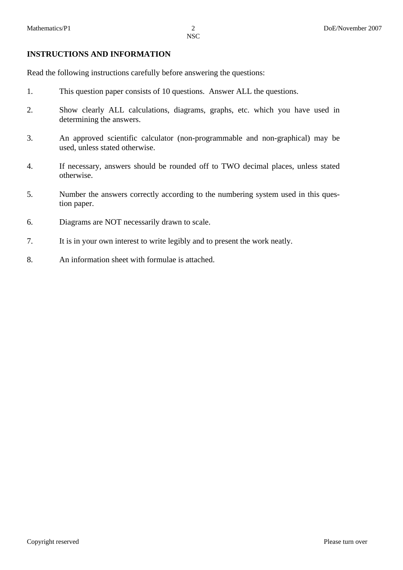#### **INSTRUCTIONS AND INFORMATION**

Read the following instructions carefully before answering the questions:

- 1. This question paper consists of 10 questions. Answer ALL the questions.
- 2. Show clearly ALL calculations, diagrams, graphs, etc. which you have used in determining the answers.
- 3. An approved scientific calculator (non-programmable and non-graphical) may be used, unless stated otherwise.
- 4. If necessary, answers should be rounded off to TWO decimal places, unless stated otherwise.
- 5. Number the answers correctly according to the numbering system used in this question paper.
- 6. Diagrams are NOT necessarily drawn to scale.
- 7. It is in your own interest to write legibly and to present the work neatly.
- 8. An information sheet with formulae is attached.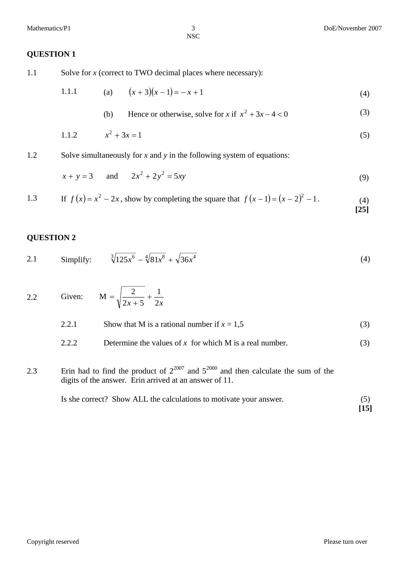#### **QUESTION 1**

1.1 Solve for *x* (correct to TWO decimal places where necessary):

1.1.1 (a) 
$$
(x+3)(x-1) = -x+1
$$
 (4)

(b) Hence or otherwise, solve for x if 
$$
x^2 + 3x - 4 < 0
$$
 (3)

1.1.2 
$$
x^2 + 3x = 1
$$
 (5)

1.2 Solve simultaneously for *x* and *y* in the following system of equations:

$$
x + y = 3
$$
 and  $2x^2 + 2y^2 = 5xy$  (9)

1.3 If 
$$
f(x) = x^2 - 2x
$$
, show by completing the square that  $f(x - 1) = (x - 2)^2 - 1$ . (4)

#### **QUESTION 2**

2.1 Simplify: 
$$
\sqrt[3]{125x^6} - \sqrt[4]{81x^8} + \sqrt{36x^4}
$$
 (4)

2.2 Given:  $x + 5$  2*x* 1  $2x + 5$  $\frac{2}{2}$  +  $=\sqrt{\frac{2}{2x+5}} + \frac{1}{2x}$ 

|       | Show that M is a rational number if $x = 1.5$           |     |
|-------|---------------------------------------------------------|-----|
| 2.2.2 | Determine the values of x for which M is a real number. | (3) |

## 2.3 Erin had to find the product of  $2^{2007}$  and  $5^{2000}$  and then calculate the sum of the digits of the answer. Erin arrived at an answer of 11.

| Is she correct? Show ALL the calculations to motivate your answer. |        |
|--------------------------------------------------------------------|--------|
|                                                                    | $[15]$ |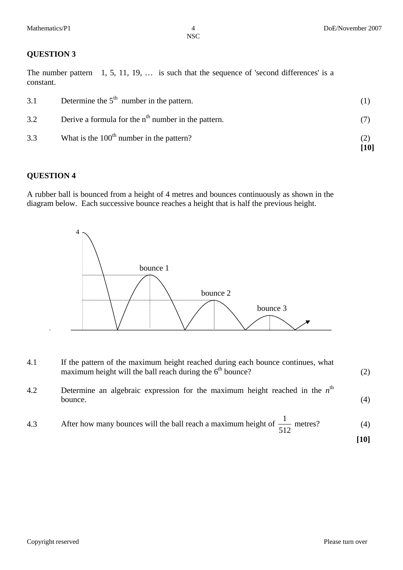# **QUESTION 3**

The number pattern 1, 5, 11, 19, ... is such that the sequence of 'second differences' is a constant.

| 3.1 | Determine the $5th$ number in the pattern.            |             |
|-----|-------------------------------------------------------|-------------|
| 3.2 | Derive a formula for the $nth$ number in the pattern. |             |
| 3.3 | What is the $100th$ number in the pattern?            | (2)<br>[10] |

## **QUESTION 4**

A rubber ball is bounced from a height of 4 metres and bounces continuously as shown in the diagram below. Each successive bounce reaches a height that is half the previous height.



| 4.1 | If the pattern of the maximum height reached during each bounce continues, what<br>maximum height will the ball reach during the $6th$ bounce? | (2) |
|-----|------------------------------------------------------------------------------------------------------------------------------------------------|-----|
| 4.2 | Determine an algebraic expression for the maximum height reached in the $nth$<br>bounce.                                                       | (4) |
| 4.3 | After how many bounces will the ball reach a maximum height of $\frac{1}{512}$ metres?                                                         | (4) |

**[10]**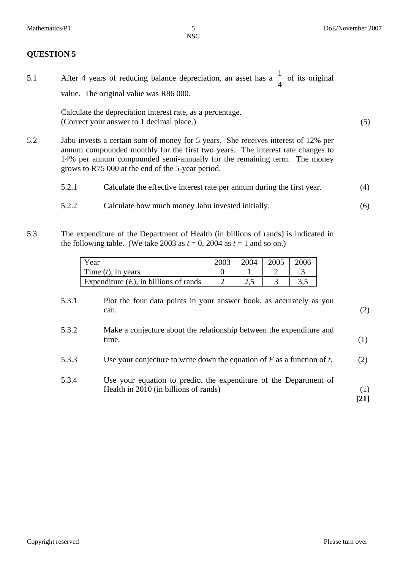(5)

(6)

#### **QUESTION 5**

5.1 After 4 years of reducing balance depreciation, an asset has a  $\frac{1}{4}$  of its original value. The original value was R86 000.

> Calculate the depreciation interest rate, as a percentage. (Correct your answer to 1 decimal place.)

- 5.2 Jabu invests a certain sum of money for 5 years. She receives interest of 12% per annum compounded monthly for the first two years. The interest rate changes to 14% per annum compounded semi-annually for the remaining term. The money grows to R75 000 at the end of the 5-year period.
	- 5.2.1 Calculate the effective interest rate per annum during the first year. (4)
	- 5.2.2 Calculate how much money Jabu invested initially.
- 5.3 The expenditure of the Department of Health (in billions of rands) is indicated in the following table. (We take 2003 as  $t = 0$ , 2004 as  $t = 1$  and so on.)

| Year                                     | 2003 | 2004 | 2005 | 2006 |
|------------------------------------------|------|------|------|------|
| Time $(t)$ , in years                    |      |      |      |      |
| Expenditure $(E)$ , in billions of rands |      | ∠…   |      |      |

| 5.3.1 | Plot the four data points in your answer book, as accurately as you<br>can.                                | (2)         |
|-------|------------------------------------------------------------------------------------------------------------|-------------|
| 5.3.2 | Make a conjecture about the relationship between the expenditure and<br>time.                              | (1)         |
| 5.3.3 | Use your conjecture to write down the equation of $E$ as a function of $t$ .                               | (2)         |
| 5.3.4 | Use your equation to predict the expenditure of the Department of<br>Health in 2010 (in billions of rands) | (1)<br>[21] |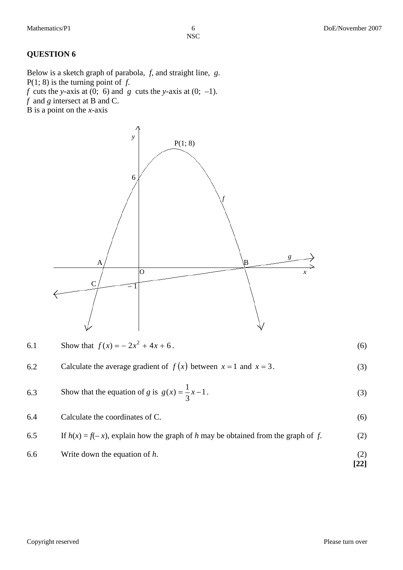## **QUESTION 6**

Below is a sketch graph of parabola, *f*, and straight line, *g*. P(1; 8) is the turning point of *f*. *f* cuts the *y*-axis at (0; 6) and *g* cuts the *y*-axis at (0; –1). *f* and *g* intersect at B and C.  $\overrightarrow{B}$  is a point on the *x*-axis

> $\overline{O}$  $A /$   $\qquad \qquad \qquad$   $\qquad \qquad$ P(1; 8) C 6  $\mp 1$ *f g x y*   $\Rightarrow$ ∧

| 6.1 | Show that $f(x) = -2x^2 + 4x + 6$ .                                    | (6) |
|-----|------------------------------------------------------------------------|-----|
| 6.2 | Calculate the average gradient of $f(x)$ between $x = 1$ and $x = 3$ . | (3) |
| 6.3 | Show that the equation of g is $g(x) = \frac{1}{3}x-1$ .               | (3) |
| 6.4 | Calculate the coordinates of C.                                        | (6) |

| 6.5 | If $h(x) = f(-x)$ , explain how the graph of h may be obtained from the graph of f. | (2)                |
|-----|-------------------------------------------------------------------------------------|--------------------|
| 6.6 | Write down the equation of $h$ .                                                    |                    |
|     |                                                                                     | $\lceil 22 \rceil$ |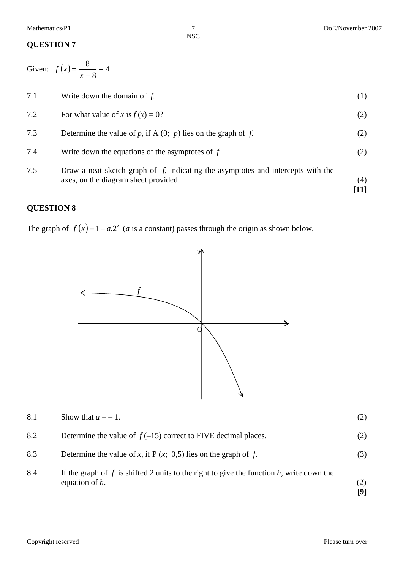### **QUESTION 7**

Given:  $f(x) = \frac{6}{x} + 4$ 8  $f(x) = \frac{8}{x-8} + 4$ 

| 7.5 | Draw a neat sketch graph of $f$ , indicating the asymptotes and intercepts with the<br>axes, on the diagram sheet provided. | (4) |
|-----|-----------------------------------------------------------------------------------------------------------------------------|-----|
| 7.4 | Write down the equations of the asymptotes of $f$ .                                                                         | (2) |
| 7.3 | Determine the value of p, if A $(0; p)$ lies on the graph of f.                                                             | (2) |
| 7.2 | For what value of x is $f(x) = 0$ ?                                                                                         | (2) |
| 7.1 | Write down the domain of $f$ .                                                                                              | (1) |

## **QUESTION 8**

The graph of  $f(x) = 1 + a.2^x$  *(a* is a constant) passes through the origin as shown below.



| 8.1 | Show that $a = -1$ .                                                                                               | (2)        |
|-----|--------------------------------------------------------------------------------------------------------------------|------------|
| 8.2 | Determine the value of $f(-15)$ correct to FIVE decimal places.                                                    | (2)        |
| 8.3 | Determine the value of x, if $P(x; 0.5)$ lies on the graph of f.                                                   | (3)        |
| 8.4 | If the graph of $f$ is shifted 2 units to the right to give the function $h$ , write down the<br>equation of $h$ . | (2)<br>[9] |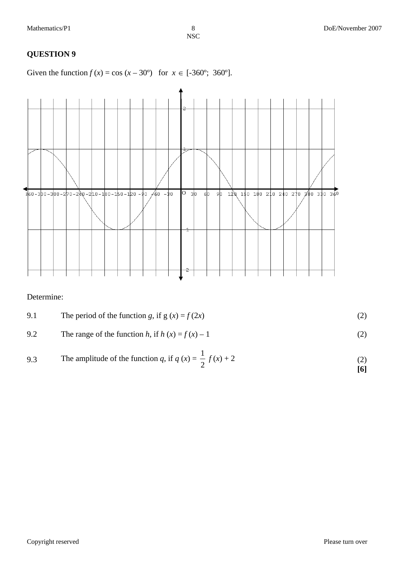# **QUESTION 9**

Given the function  $f(x) = \cos(x - 30^{\circ})$  for  $x \in [-360^{\circ}; 360^{\circ}]$ .



Determine:

9.2 The range of the function h, if 
$$
h(x) = f(x) - 1
$$
 (2)

9.3 The amplitude of the function q, if 
$$
q(x) = \frac{1}{2} f(x) + 2
$$
 (2) [6]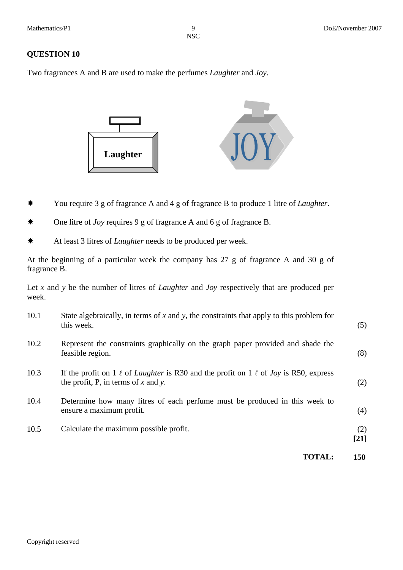#### **QUESTION 10**

Two fragrances A and B are used to make the perfumes *Laughter* and *Joy*.



- You require 3 g of fragrance A and 4 g of fragrance B to produce 1 litre of *Laughter*.
- One litre of *Joy* requires 9 g of fragrance A and 6 g of fragrance B.
- At least 3 litres of *Laughter* needs to be produced per week.

At the beginning of a particular week the company has 27 g of fragrance A and 30 g of fragrance B.

Let *x* and *y* be the number of litres of *Laughter* and *Joy* respectively that are produced per week.

|      | <b>TOTAL:</b>                                                                                                                                       | 150           |
|------|-----------------------------------------------------------------------------------------------------------------------------------------------------|---------------|
| 10.5 | Calculate the maximum possible profit.                                                                                                              | (2)<br>$[21]$ |
| 10.4 | Determine how many litres of each perfume must be produced in this week to<br>ensure a maximum profit.                                              | (4)           |
| 10.3 | If the profit on 1 $\ell$ of <i>Laughter</i> is R30 and the profit on 1 $\ell$ of <i>Joy</i> is R50, express<br>the profit, P, in terms of x and y. | (2)           |
| 10.2 | Represent the constraints graphically on the graph paper provided and shade the<br>feasible region.                                                 | (8)           |
| 10.1 | State algebraically, in terms of $x$ and $y$ , the constraints that apply to this problem for<br>this week.                                         | (5)           |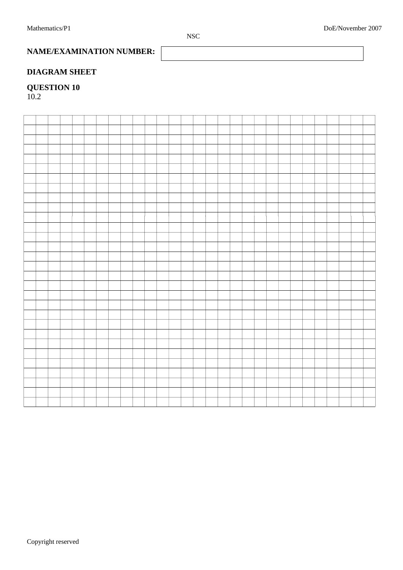**NAME/EXAMINATION NUMBER:** 

## **DIAGRAM SHEET**

# **QUESTION 10**

10.2